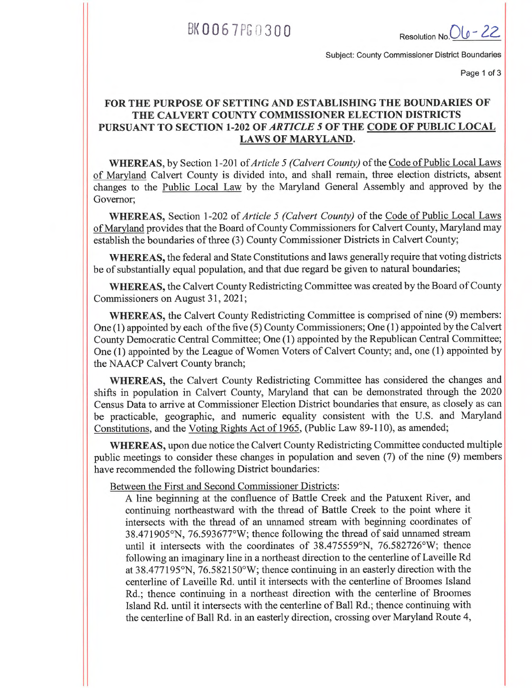BK 0067PG 0300 Resolution No. Ol o - 22

Subject: County Commissioner District Boundaries

Page 1 of 3

## **FOR THE PURPOSE OF SETTING AND ESTABLISHING THE BOUNDARIES OF THE CALVERT COUNTY COMMISSIONER ELECTION DISTRICTS PURSUANT TO SECTION 1-202 OF** *ARTICLE 5* **OF THE CODE OF PUBLIC LOCAL LAWS OF MARYLAND.**

**WHEREAS,** by Section 1-201 *of Article 5 (Calvert County)* of the Code of Public Local Laws of Maryland Calvert County is divided into, and shall remain, three election districts, absent changes to the Public Local Law by the Maryland General Assembly and approved by the Governor;

**WHEREAS,** Section 1-202 of *Article 5 (Calvert County)* of the Code of Public Local Laws of Maryland provides that the Board of County Commissioners for Calvert County, Maryland may establish the boundaries of three (3) County Commissioner Districts in Calvert County;

**WHEREAS,** the federal and State Constitutions and laws generally require that voting districts be of substantially equal population, and that due regard be given to natural boundaries;

**WHEREAS,** the Calvert County Redistricting Committee was created by the Board of County Commissioners on August 31, 2021;

**WHEREAS,** the Calvert County Redistricting Committee is comprised of nine (9) members: One (1) appointed by each of the five (5) County Commissioners; One (1) appointed by the Calvert County Democratic Central Committee; One (1) appointed by the Republican Central Committee; One (1) appointed by the League of Women Voters of Calvert County; and, one (1) appointed by the NAACP Calvert County branch;

**WHEREAS,** the Calvert County Redistricting Committee has considered the changes and shifts in population in Calvert County, Maryland that can be demonstrated through the 2020 Census Data to arrive at Commissioner Election District boundaries that ensure, as closely as can be practicable, geographic, and numeric equality consistent with the U.S. and Maryland Constitutions, and the Voting Rights Act of 1965, (Public Law 89-110), as amended;

**WHEREAS,** upon due notice the Calvert County Redistricting Committee conducted multiple public meetings to consider these changes in population and seven (7) of the nine (9) members have recommended the following District boundaries:

Between the First and Second Commissioner Districts:

A line beginning at the confluence of Battle Creek and the Patuxent River, and continuing northeastward with the thread of Battle Creek to the point where it intersects with the thread of an unnamed stream with beginning coordinates of 38.471905°N, 76.593677°W; thence following the thread of said unnamed stream until it intersects with the coordinates of 38.475559°N, 76.582726°W; thence following an imaginary line in a northeast direction to the centerline of Laveille Rd at 38.477195°N, 76.582150°W; thence continuing in an easterly direction with the centerline of Laveille Rd. until it intersects with the centerline of Broomes Island Rd.; thence continuing in a northeast direction with the centerline of Broomes Island Rd. until it intersects with the centerline of Ball Rd.; thence continuing with the centerline of Ball Rd. in an easterly direction, crossing over Maryland Route 4,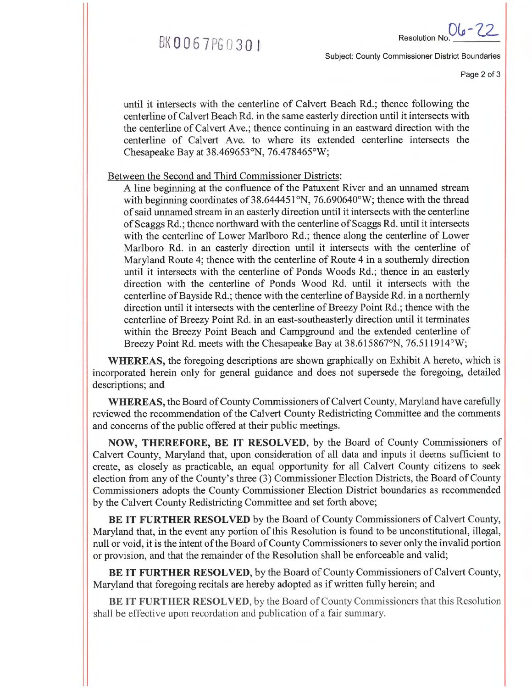

*06 -*22\_ Resolution No.

Subject: County Commissioner District Boundaries

Page 2 of 3

until it intersects with the centerline of Calvert Beach Rd.; thence following the centerline of Calvert Beach Rd. in the same easterly direction until it intersects with the centerline of Calvert Ave.; thence continuing in an eastward direction with the centerline of Calvert Ave. to where its extended centerline intersects the Chesapeake Bay at 38.469653°N, 76.478465°W;

Between the Second and Third Commissioner Districts:

A line beginning at the confluence of the Patuxent River and an unnamed stream with beginning coordinates of 38.644451°N, 76.690640°W; thence with the thread of said unnamed stream in an easterly direction until it intersects with the centerline of Scaggs Rd.; thence northward with the centerline of Scaggs Rd. until it intersects with the centerline of Lower Marlboro Rd.; thence along the centerline of Lower Marlboro Rd. in an easterly direction until it intersects with the centerline of Maryland Route 4; thence with the centerline of Route 4 in a southernly direction until it intersects with the centerline of Ponds Woods Rd.; thence in an easterly direction with the centerline of Ponds Wood Rd. until it intersects with the centerline of Bayside Rd.; thence with the centerline of Bayside Rd. in a northernly direction until it intersects with the centerline of Breezy Point Rd.; thence with the centerline of Breezy Point Rd. in an east-southeasterly direction until it terminates within the Breezy Point Beach and Campground and the extended centerline of Breezy Point Rd. meets with the Chesapeake Bay at 38.615867°N, 76.511914°W;

WHEREAS, the foregoing descriptions are shown graphically on Exhibit A hereto, which is incorporated herein only for general guidance and does not supersede the foregoing, detailed descriptions; and

WHEREAS, the Board of County Commissioners of Calvert County, Maryland have carefully reviewed the recommendation of the Calvert County Redistricting Committee and the comments and concerns of the public offered at their public meetings.

**NOW, THEREFORE, BE IT RESOLVED,** by the Board of County Commissioners of Calvert County, Maryland that, upon consideration of all data and inputs it deems sufficient to create, as closely as practicable, an equal opportunity for all Calvert County citizens to seek election from any of the County's three (3) Commissioner Election Districts, the Board of County Commissioners adopts the County Commissioner Election District boundaries as recommended by the Calvert County Redistricting Committee and set forth above;

**BE IT FURTHER RESOLVED** by the Board of County Commissioners of Calvert County, Maryland that, in the event any portion of this Resolution is found to be unconstitutional, illegal, null or void, it is the intent of the Board of County Commissioners to sever only the invalid portion or provision, and that the remainder of the Resolution shall be enforceable and valid;

**BE IT FURTHER RESOLVED,** by the Board of County Commissioners of Calvert County, Maryland that foregoing recitals are hereby adopted as if written fully herein; and

BE IT FURTHER **RESOLVED,** by the Board of County Commissioners that this Resolution shall be effective upon recordation and publication of a fair summary.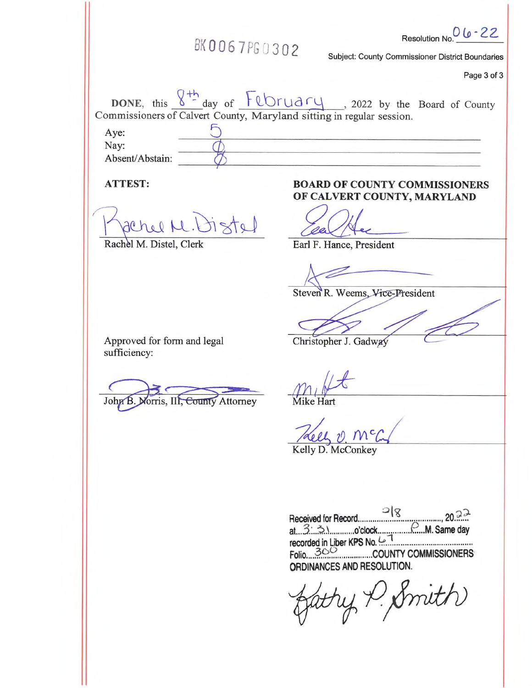| BK0067PG0302                                                                                                                                                       | 06-22<br><b>Resolution No</b><br><b>Subject: County Commissioner District Boundaries</b><br>Page 3 of 3 |
|--------------------------------------------------------------------------------------------------------------------------------------------------------------------|---------------------------------------------------------------------------------------------------------|
| DONE, this $8 + \frac{1}{2}$ day of $F(\text{tr} a \cap y)$ , 2022 by the Board of County<br>Commissioners of Calvert County, Maryland sitting in regular session. |                                                                                                         |
| Aye:                                                                                                                                                               |                                                                                                         |
| Nay:                                                                                                                                                               |                                                                                                         |
| Absent/Abstain:                                                                                                                                                    |                                                                                                         |
| <b>ATTEST:</b>                                                                                                                                                     | <b>BOARD OF COUNTY COMMISSIONERS</b><br>OF CALVERT COUNTY, MARYLAND                                     |
| achel M. Distel                                                                                                                                                    |                                                                                                         |
| Rachel M. Distel, Clerk                                                                                                                                            | Earl F. Hance, President                                                                                |
|                                                                                                                                                                    |                                                                                                         |

Steven R. Weems, Vice-President

Approved for form and legal sufficiency:

John B. Norris, III, County Attorney Mike Hart

Christopher J. Gadway

Theely U. McC. Kelly D. McConkey

**Q153 Received for Record at.** 3. 3. 2. **o**'clock *F M.* **Same day recorded in Liber KPS No.**  $\ldots$ **. Folio 3CC COUNTY COMMISSIONERS ORDINANCES AND RESOLUTION.** 

fatty P. Smith